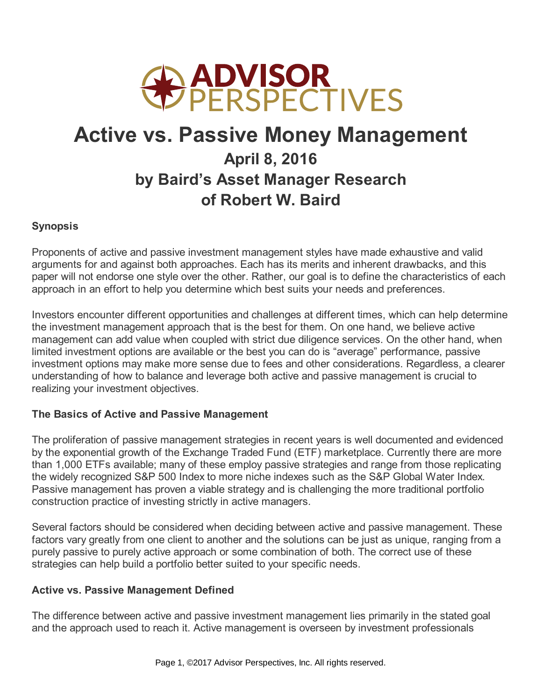

# **Active vs. Passive Money Management April 8, 2016 by Baird's Asset Manager Research of Robert W. Baird**

# **Synopsis**

Proponents of active and passive investment management styles have made exhaustive and valid arguments for and against both approaches. Each has its merits and inherent drawbacks, and this paper will not endorse one style over the other. Rather, our goal is to define the characteristics of each approach in an effort to help you determine which best suits your needs and preferences.

Investors encounter different opportunities and challenges at different times, which can help determine the investment management approach that is the best for them. On one hand, we believe active management can add value when coupled with strict due diligence services. On the other hand, when limited investment options are available or the best you can do is "average" performance, passive investment options may make more sense due to fees and other considerations. Regardless, a clearer understanding of how to balance and leverage both active and passive management is crucial to realizing your investment objectives.

## **The Basics of Active and Passive Management**

The proliferation of passive management strategies in recent years is well documented and evidenced by the exponential growth of the Exchange Traded Fund (ETF) marketplace. Currently there are more than 1,000 ETFs available; many of these employ passive strategies and range from those replicating the widely recognized S&P 500 Index to more niche indexes such as the S&P Global Water Index. Passive management has proven a viable strategy and is challenging the more traditional portfolio construction practice of investing strictly in active managers.

Several factors should be considered when deciding between active and passive management. These factors vary greatly from one client to another and the solutions can be just as unique, ranging from a purely passive to purely active approach or some combination of both. The correct use of these strategies can help build a portfolio better suited to your specific needs.

## **Active vs. Passive Management Defined**

The difference between active and passive investment management lies primarily in the stated goal and the approach used to reach it. Active management is overseen by investment professionals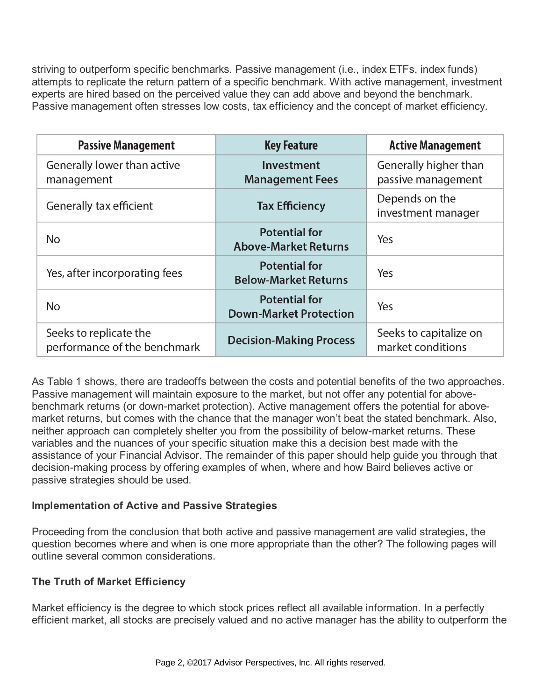striving to outperform specific benchmarks. Passive management (i.e., index ETFs, index funds) attempts to replicate the return pattern of a specific benchmark. With active management, investment experts are hired based on the perceived value they can add above and beyond the benchmark. Passive management often stresses low costs, tax efficiency and the concept of market efficiency.

| <b>Passive Management</b>                              | <b>Key Feature</b>                                           | <b>Active Management</b>                    |
|--------------------------------------------------------|--------------------------------------------------------------|---------------------------------------------|
| Generally lower than active<br>management              | Investment<br><b>Management Fees</b>                         | Generally higher than<br>passive management |
| Generally tax efficient                                | <b>Tax Efficiency</b>                                        | Depends on the<br>investment manager        |
| No                                                     | <b>Potential for</b><br><b>Above-Market Returns</b>          | Yes                                         |
| Yes, after incorporating fees                          | <b>Potential for</b><br><b>Below-Market Returns</b>          | Yes                                         |
| <b>No</b>                                              | <b>Potential for</b><br>Yes<br><b>Down-Market Protection</b> |                                             |
| Seeks to replicate the<br>performance of the benchmark | <b>Decision-Making Process</b>                               | Seeks to capitalize on<br>market conditions |

As Table 1 shows, there are tradeoffs between the costs and potential benefits of the two approaches. Passive management will maintain exposure to the market, but not offer any potential for abovebenchmark returns (or down-market protection). Active management offers the potential for abovemarket returns, but comes with the chance that the manager won't beat the stated benchmark. Also, neither approach can completely shelter you from the possibility of below-market returns. These variables and the nuances of your specific situation make this a decision best made with the assistance of your Financial Advisor. The remainder of this paper should help guide you through that decision-making process by offering examples of when, where and how Baird believes active or passive strategies should be used.

# **Implementation of Active and Passive Strategies**

Proceeding from the conclusion that both active and passive management are valid strategies, the question becomes where and when is one more appropriate than the other? The following pages will outline several common considerations.

# **The Truth of Market Efficiency**

Market efficiency is the degree to which stock prices reflect all available information. In a perfectly efficient market, all stocks are precisely valued and no active manager has the ability to outperform the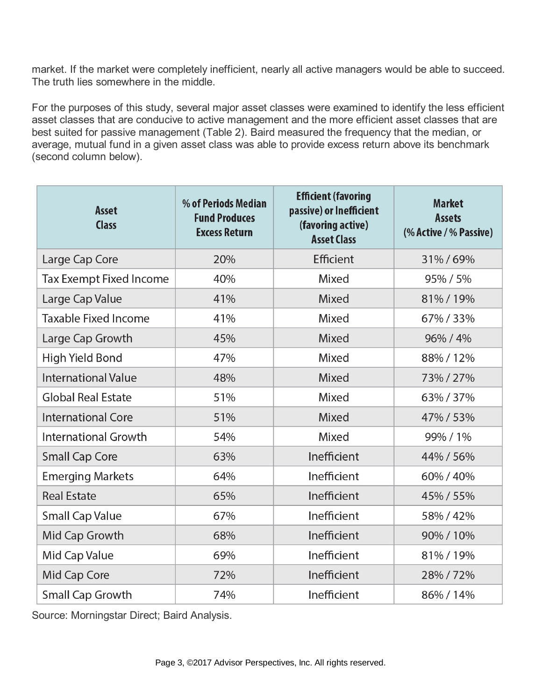market. If the market were completely inefficient, nearly all active managers would be able to succeed. The truth lies somewhere in the middle.

For the purposes of this study, several major asset classes were examined to identify the less efficient asset classes that are conducive to active management and the more efficient asset classes that are best suited for passive management (Table 2). Baird measured the frequency that the median, or average, mutual fund in a given asset class was able to provide excess return above its benchmark (second column below).

| Asset<br><b>Class</b>          | % of Periods Median<br><b>Fund Produces</b><br><b>Excess Return</b> | <b>Efficient (favoring</b><br>passive) or Inefficient<br>(favoring active)<br><b>Asset Class</b> | <b>Market</b><br>Assets<br>(% Active / % Passive) |
|--------------------------------|---------------------------------------------------------------------|--------------------------------------------------------------------------------------------------|---------------------------------------------------|
| Large Cap Core                 | 20%                                                                 | Efficient                                                                                        | 31%/69%                                           |
| <b>Tax Exempt Fixed Income</b> | 40%                                                                 | Mixed                                                                                            | 95% / 5%                                          |
| Large Cap Value                | 41%                                                                 | <b>Mixed</b>                                                                                     | 81%/19%                                           |
| <b>Taxable Fixed Income</b>    | 41%                                                                 | Mixed                                                                                            | 67%/33%                                           |
| Large Cap Growth               | 45%                                                                 | Mixed                                                                                            | 96% / 4%                                          |
| High Yield Bond                | 47%                                                                 | Mixed                                                                                            | 88%/12%                                           |
| <b>International Value</b>     | 48%                                                                 | Mixed                                                                                            | 73%/27%                                           |
| <b>Global Real Estate</b>      | 51%                                                                 | Mixed                                                                                            | 63%/37%                                           |
| <b>International Core</b>      | 51%                                                                 | Mixed                                                                                            | 47% / 53%                                         |
| <b>International Growth</b>    | 54%                                                                 | Mixed                                                                                            | 99% / 1%                                          |
| <b>Small Cap Core</b>          | 63%                                                                 | Inefficient                                                                                      | 44% / 56%                                         |
| <b>Emerging Markets</b>        | 64%                                                                 | Inefficient                                                                                      | 60% / 40%                                         |
| <b>Real Estate</b>             | 65%                                                                 | Inefficient                                                                                      | 45% / 55%                                         |
| <b>Small Cap Value</b>         | 67%                                                                 | Inefficient                                                                                      | 58% / 42%                                         |
| Mid Cap Growth                 | 68%                                                                 | Inefficient                                                                                      | 90% / 10%                                         |
| Mid Cap Value                  | 69%                                                                 | Inefficient                                                                                      | 81%/19%                                           |
| Mid Cap Core                   | 72%                                                                 | Inefficient                                                                                      | 28%/72%                                           |
| <b>Small Cap Growth</b>        | 74%                                                                 | Inefficient                                                                                      | 86% / 14%                                         |

Source: Morningstar Direct; Baird Analysis.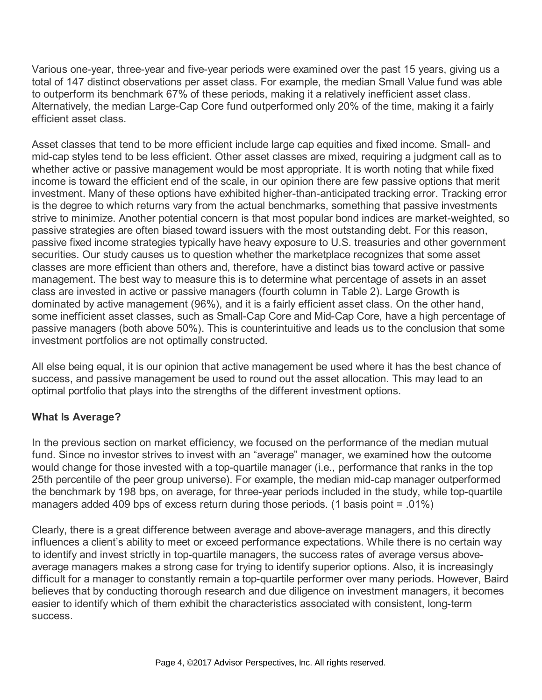Various one-year, three-year and five-year periods were examined over the past 15 years, giving us a total of 147 distinct observations per asset class. For example, the median Small Value fund was able to outperform its benchmark 67% of these periods, making it a relatively inefficient asset class. Alternatively, the median Large-Cap Core fund outperformed only 20% of the time, making it a fairly efficient asset class.

Asset classes that tend to be more efficient include large cap equities and fixed income. Small- and mid-cap styles tend to be less efficient. Other asset classes are mixed, requiring a judgment call as to whether active or passive management would be most appropriate. It is worth noting that while fixed income is toward the efficient end of the scale, in our opinion there are few passive options that merit investment. Many of these options have exhibited higher-than-anticipated tracking error. Tracking error is the degree to which returns vary from the actual benchmarks, something that passive investments strive to minimize. Another potential concern is that most popular bond indices are market-weighted, so passive strategies are often biased toward issuers with the most outstanding debt. For this reason, passive fixed income strategies typically have heavy exposure to U.S. treasuries and other government securities. Our study causes us to question whether the marketplace recognizes that some asset classes are more efficient than others and, therefore, have a distinct bias toward active or passive management. The best way to measure this is to determine what percentage of assets in an asset class are invested in active or passive managers (fourth column in Table 2). Large Growth is dominated by active management (96%), and it is a fairly efficient asset class. On the other hand, some inefficient asset classes, such as Small-Cap Core and Mid-Cap Core, have a high percentage of passive managers (both above 50%). This is counterintuitive and leads us to the conclusion that some investment portfolios are not optimally constructed.

All else being equal, it is our opinion that active management be used where it has the best chance of success, and passive management be used to round out the asset allocation. This may lead to an optimal portfolio that plays into the strengths of the different investment options.

# **What Is Average?**

In the previous section on market efficiency, we focused on the performance of the median mutual fund. Since no investor strives to invest with an "average" manager, we examined how the outcome would change for those invested with a top-quartile manager (i.e., performance that ranks in the top 25th percentile of the peer group universe). For example, the median mid-cap manager outperformed the benchmark by 198 bps, on average, for three-year periods included in the study, while top-quartile managers added 409 bps of excess return during those periods. (1 basis point = .01%)

Clearly, there is a great difference between average and above-average managers, and this directly influences a client's ability to meet or exceed performance expectations. While there is no certain way to identify and invest strictly in top-quartile managers, the success rates of average versus aboveaverage managers makes a strong case for trying to identify superior options. Also, it is increasingly difficult for a manager to constantly remain a top-quartile performer over many periods. However, Baird believes that by conducting thorough research and due diligence on investment managers, it becomes easier to identify which of them exhibit the characteristics associated with consistent, long-term success.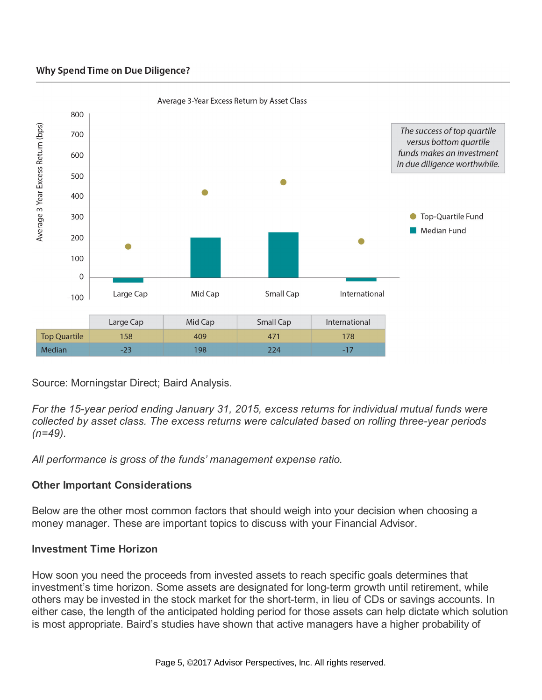#### **Why Spend Time on Due Diligence?**



Source: Morningstar Direct; Baird Analysis.

*For the 15-year period ending January 31, 2015, excess returns for individual mutual funds were collected by asset class. The excess returns were calculated based on rolling three-year periods (n=49).*

*All performance is gross of the funds' management expense ratio.*

# **Other Important Considerations**

Below are the other most common factors that should weigh into your decision when choosing a money manager. These are important topics to discuss with your Financial Advisor.

## **Investment Time Horizon**

How soon you need the proceeds from invested assets to reach specific goals determines that investment's time horizon. Some assets are designated for long-term growth until retirement, while others may be invested in the stock market for the short-term, in lieu of CDs or savings accounts. In either case, the length of the anticipated holding period for those assets can help dictate which solution is most appropriate. Baird's studies have shown that active managers have a higher probability of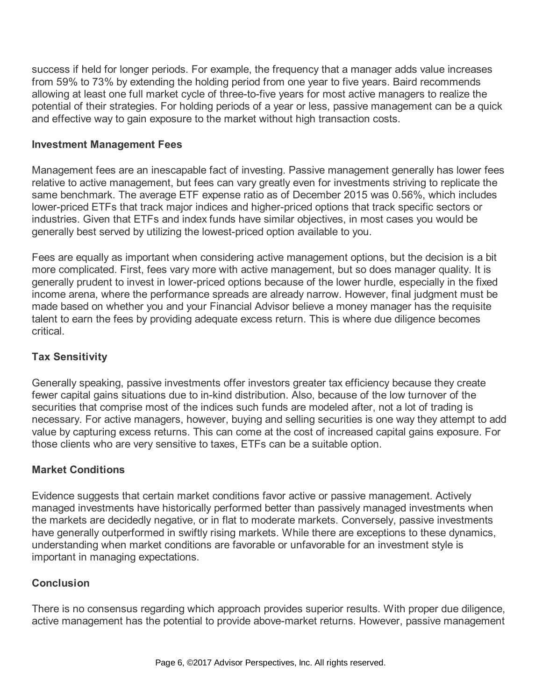success if held for longer periods. For example, the frequency that a manager adds value increases from 59% to 73% by extending the holding period from one year to five years. Baird recommends allowing at least one full market cycle of three-to-five years for most active managers to realize the potential of their strategies. For holding periods of a year or less, passive management can be a quick and effective way to gain exposure to the market without high transaction costs.

## **Investment Management Fees**

Management fees are an inescapable fact of investing. Passive management generally has lower fees relative to active management, but fees can vary greatly even for investments striving to replicate the same benchmark. The average ETF expense ratio as of December 2015 was 0.56%, which includes lower-priced ETFs that track major indices and higher-priced options that track specific sectors or industries. Given that ETFs and index funds have similar objectives, in most cases you would be generally best served by utilizing the lowest-priced option available to you.

Fees are equally as important when considering active management options, but the decision is a bit more complicated. First, fees vary more with active management, but so does manager quality. It is generally prudent to invest in lower-priced options because of the lower hurdle, especially in the fixed income arena, where the performance spreads are already narrow. However, final judgment must be made based on whether you and your Financial Advisor believe a money manager has the requisite talent to earn the fees by providing adequate excess return. This is where due diligence becomes critical.

# **Tax Sensitivity**

Generally speaking, passive investments offer investors greater tax efficiency because they create fewer capital gains situations due to in-kind distribution. Also, because of the low turnover of the securities that comprise most of the indices such funds are modeled after, not a lot of trading is necessary. For active managers, however, buying and selling securities is one way they attempt to add value by capturing excess returns. This can come at the cost of increased capital gains exposure. For those clients who are very sensitive to taxes, ETFs can be a suitable option.

# **Market Conditions**

Evidence suggests that certain market conditions favor active or passive management. Actively managed investments have historically performed better than passively managed investments when the markets are decidedly negative, or in flat to moderate markets. Conversely, passive investments have generally outperformed in swiftly rising markets. While there are exceptions to these dynamics, understanding when market conditions are favorable or unfavorable for an investment style is important in managing expectations.

# **Conclusion**

There is no consensus regarding which approach provides superior results. With proper due diligence, active management has the potential to provide above-market returns. However, passive management